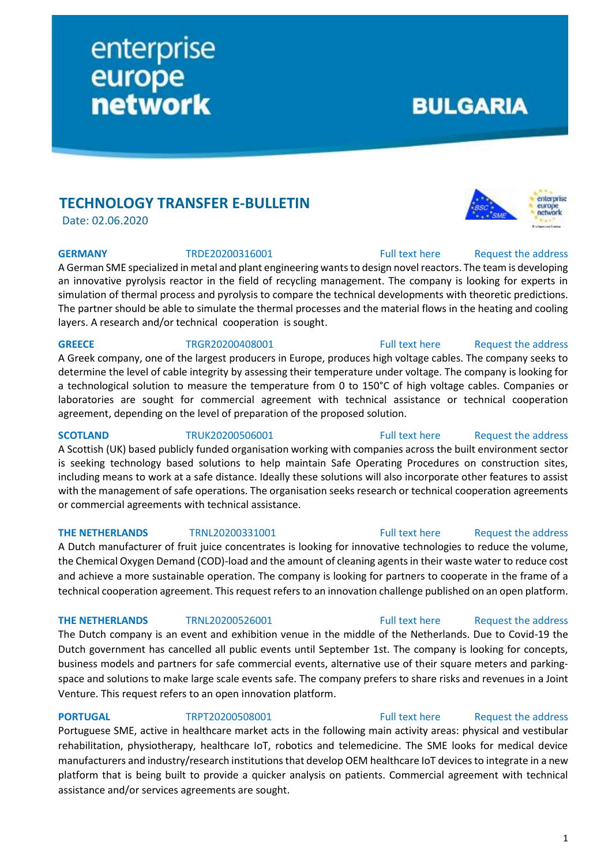# **TECHNOLOGY TRANSFER E-BULLETIN**

Date: 02.06.2020

A German SME specialized in metal and plant engineering wants to design novel reactors. The team is developing an innovative pyrolysis reactor in the field of recycling management. The company is looking for experts in simulation of thermal process and pyrolysis to compare the technical developments with theoretic predictions. The partner should be able to simulate the thermal processes and the material flows in the heating and cooling layers. A research and/or technical cooperation is sought.

A Greek company, one of the largest producers in Europe, produces high voltage cables. The company seeks to determine the level of cable integrity by assessing their temperature under voltage. The company is looking for a technological solution to measure the temperature from 0 to 150°C of high voltage cables. Companies or laboratories are sought for commercial agreement with technical assistance or technical cooperation agreement, depending on the level of preparation of the proposed solution.

A Scottish (UK) based publicly funded organisation working with companies across the built environment sector is seeking technology based solutions to help maintain Safe Operating Procedures on construction sites, including means to work at a safe distance. Ideally these solutions will also incorporate other features to assist with the management of safe operations. The organisation seeks research or technical cooperation agreements or commercial agreements with technical assistance.

### **THE NETHERLANDS** TRNL20200331001 [Full text here](https://een.ec.europa.eu/tools/services/PRO/Profile/Detail/8c3682e6-2f79-442d-a03e-a66193403074) Request [the address](http://www.een.bg/index.php?option=com_rsform&formId=13)

A Dutch manufacturer of fruit juice concentrates is looking for innovative technologies to reduce the volume, the Chemical Oxygen Demand (COD)-load and the amount of cleaning agents in their waste water to reduce cost and achieve a more sustainable operation. The company is looking for partners to cooperate in the frame of a technical cooperation agreement. This request refers to an innovation challenge published on an open platform.

The Dutch company is an event and exhibition venue in the middle of the Netherlands. Due to Covid-19 the Dutch government has cancelled all public events until September 1st. The company is looking for concepts, business models and partners for safe commercial events, alternative use of their square meters and parkingspace and solutions to make large scale events safe. The company prefers to share risks and revenues in a Joint Venture. This request refers to an open innovation platform.

### **PORTUGAL** TRPT20200508001 [Full text here](https://een.ec.europa.eu/tools/services/PRO/Profile/Detail/163de28f-8cdd-4988-97c8-7c5ac3fc0089) Request the address

Portuguese SME, active in healthcare market acts in the following main activity areas: physical and vestibular rehabilitation, physiotherapy, healthcare IoT, robotics and telemedicine. The SME looks for medical device manufacturers and industry/research institutions that develop OEM healthcare IoT devices to integrate in a new platform that is being built to provide a quicker analysis on patients. Commercial agreement with technical assistance and/or services agreements are sought.

# **GREECE** TRGR20200408001 [Full text here](https://een.ec.europa.eu/tools/services/PRO/Profile/Detail/0a7b1048-83b9-47d2-ac40-fd2bfadd3d49) Request the address

# **SCOTLAND** TRUK20200506001 [Full text here](https://een.ec.europa.eu/tools/services/PRO/Profile/Detail/78e5078e-6d98-496d-8d98-15a56cc0635e) Request [the address](http://www.een.bg/index.php?option=com_rsform&formId=13)

### **THE NETHERLANDS** TRNL20200526001 [Full text here](https://een.ec.europa.eu/tools/services/PRO/Profile/Detail/3bf5a9e0-542c-479f-ad0c-7bdc28c73823) Request the address

**GERMANY** TRDE20200316001 [Full text here](https://een.ec.europa.eu/tools/services/PRO/Profile/Detail/bcbc049c-5c8d-4d81-b2c9-48d8f63436c5) Request the address

**BULGARIA** 

# enterprise europe **network**

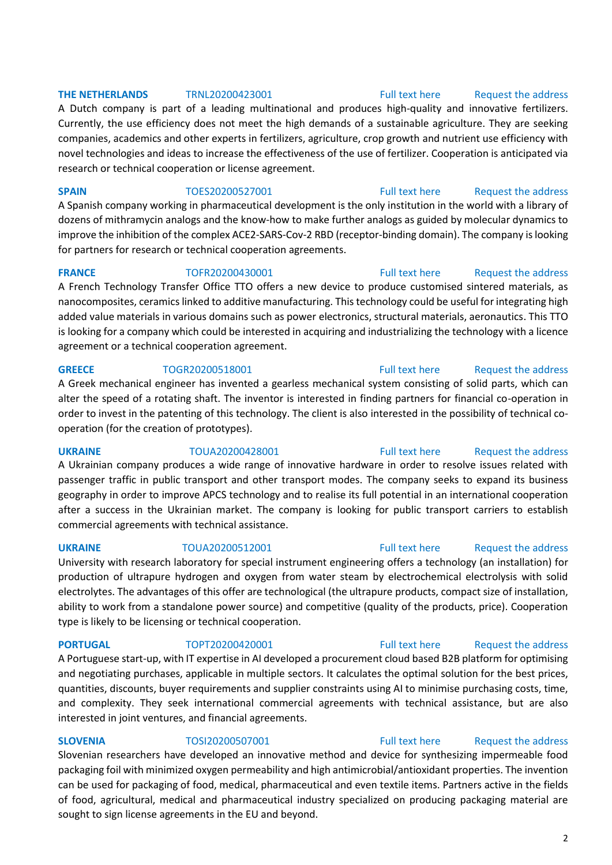### **THE NETHERLANDS** TRNL20200423001 [Full text here](https://een.ec.europa.eu/tools/services/PRO/Profile/Detail/7bbfc4e4-6952-4954-87e4-6385382fcd27) Request [the address](http://www.een.bg/index.php?option=com_rsform&formId=13)

A Dutch company is part of a leading multinational and produces high-quality and innovative fertilizers. Currently, the use efficiency does not meet the high demands of a sustainable agriculture. They are seeking companies, academics and other experts in fertilizers, agriculture, crop growth and nutrient use efficiency with novel technologies and ideas to increase the effectiveness of the use of fertilizer. Cooperation is anticipated via research or technical cooperation or license agreement.

**SPAIN** TOES20200527001 [Full text here](https://een.ec.europa.eu/tools/services/PRO/Profile/Detail/b14bafda-11bd-406e-974c-8182f9945eba) Request [the address](http://www.een.bg/index.php?option=com_rsform&formId=13) A Spanish company working in pharmaceutical development is the only institution in the world with a library of dozens of mithramycin analogs and the know-how to make further analogs as guided by molecular dynamics to improve the inhibition of the complex ACE2-SARS-Cov-2 RBD (receptor-binding domain). The company is looking for partners for research or technical cooperation agreements.

### **FRANCE** TOFR20200430001 [Full text here](https://een.ec.europa.eu/tools/services/PRO/Profile/Detail/28dbaaaf-fbd5-47e3-a2fc-3b0fa772c7be) Request the address

A French Technology Transfer Office TTO offers a new device to produce customised sintered materials, as nanocomposites, ceramics linked to additive manufacturing. This technology could be useful for integrating high added value materials in various domains such as power electronics, structural materials, aeronautics. This TTO is looking for a company which could be interested in acquiring and industrializing the technology with a licence agreement or a technical cooperation agreement.

### **GREECE** TOGR20200518001 [Full text here](https://een.ec.europa.eu/tools/services/PRO/Profile/Detail/cd0df8a9-26db-419d-966e-7eb9b98a61d4) Request the address

A Greek mechanical engineer has invented a gearless mechanical system consisting of solid parts, which can alter the speed of a rotating shaft. The inventor is interested in finding partners for financial co-operation in order to invest in the patenting of this technology. The client is also interested in the possibility of technical cooperation (for the creation of prototypes).

**UKRAINE** TOUA20200428001 [Full text here](https://een.ec.europa.eu/tools/services/PRO/Profile/Detail/df7f00a7-eb69-400a-a014-2334742c89b6) Request [the address](http://www.een.bg/index.php?option=com_rsform&formId=13)

A Ukrainian company produces a wide range of innovative hardware in order to resolve issues related with passenger traffic in public transport and other transport modes. The company seeks to expand its business geography in order to improve APCS technology and to realise its full potential in an international cooperation after a success in the Ukrainian market. The company is looking for public transport carriers to establish commercial agreements with technical assistance.

### **UKRAINE** TOUA20200512001 [Full text here](https://een.ec.europa.eu/tools/services/PRO/Profile/Detail/4de97a47-6674-408f-96ce-38bf86dddca4) [Request the address](http://www.een.bg/index.php?option=com_rsform&formId=13)

University with research laboratory for special instrument engineering offers a technology (an installation) for production of ultrapure hydrogen and oxygen from water steam by electrochemical electrolysis with solid electrolytes. The advantages of this offer are technological (the ultrapure products, compact size of installation, ability to work from a standalone power source) and competitive (quality of the products, price). Cooperation type is likely to be licensing or technical cooperation.

A Portuguese start-up, with IT expertise in AI developed a procurement cloud based B2B platform for optimising and negotiating purchases, applicable in multiple sectors. It calculates the optimal solution for the best prices, quantities, discounts, buyer requirements and supplier constraints using AI to minimise purchasing costs, time, and complexity. They seek international commercial agreements with technical assistance, but are also interested in joint ventures, and financial agreements.

**SLOVENIA** TOSI20200507001 [Full text here](https://een.ec.europa.eu/tools/services/PRO/Profile/Detail/eebd7632-6e7d-46a6-95da-c2d6ddc51e93) Request the address Slovenian researchers have developed an innovative method and device for synthesizing impermeable food packaging foil with minimized oxygen permeability and high antimicrobial/antioxidant properties. The invention can be used for packaging of food, medical, pharmaceutical and even textile items. Partners active in the fields of food, agricultural, medical and pharmaceutical industry specialized on producing packaging material are sought to sign license agreements in the EU and beyond.

**PORTUGAL** TOPT20200420001 [Full text here](https://een.ec.europa.eu/tools/services/PRO/Profile/Detail/6003ea0b-5dc0-4a85-b922-9ed02b6b6154) Request the address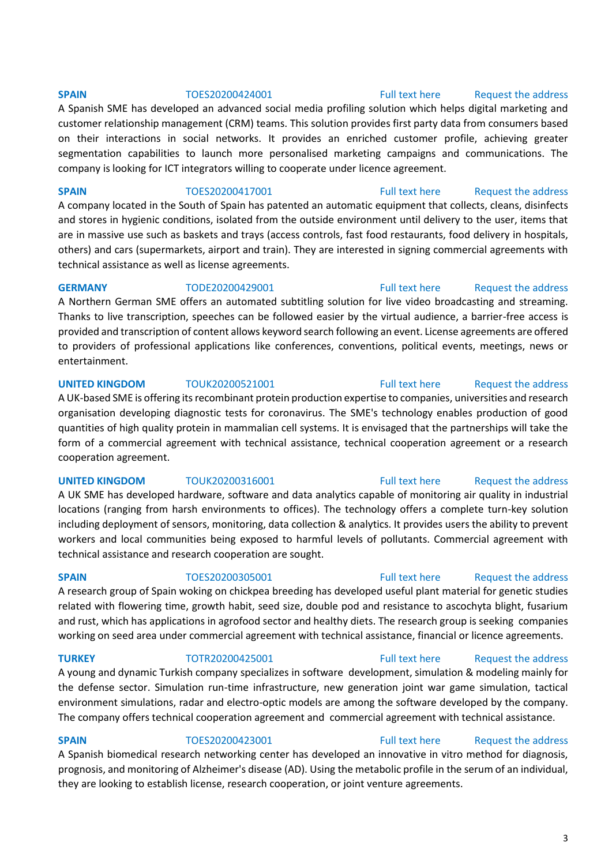# **SPAIN** TOES20200423001 [Full text here](https://een.ec.europa.eu/tools/services/PRO/Profile/Detail/1e3d84ec-cc9d-4ecd-a5c6-68a197e744b6) Request the address

A Spanish biomedical research networking center has developed an innovative in vitro method for diagnosis, prognosis, and monitoring of Alzheimer's disease (AD). Using the metabolic profile in the serum of an individual, they are looking to establish license, research cooperation, or joint venture agreements.

**SPAIN** TOES20200417001 [Full text here](https://een.ec.europa.eu/tools/services/PRO/Profile/Detail/46151a21-d96c-467f-9dea-ad0e4f396554) Request the address A company located in the South of Spain has patented an automatic equipment that collects, cleans, disinfects and stores in hygienic conditions, isolated from the outside environment until delivery to the user, items that are in massive use such as baskets and trays (access controls, fast food restaurants, food delivery in hospitals, others) and cars (supermarkets, airport and train). They are interested in signing commercial agreements with technical assistance as well as license agreements.

on their interactions in social networks. It provides an enriched customer profile, achieving greater segmentation capabilities to launch more personalised marketing campaigns and communications. The

company is looking for ICT integrators willing to cooperate under licence agreement.

A Northern German SME offers an automated subtitling solution for live video broadcasting and streaming. Thanks to live transcription, speeches can be followed easier by the virtual audience, a barrier-free access is provided and transcription of content allows keyword search following an event. License agreements are offered to providers of professional applications like conferences, conventions, political events, meetings, news or entertainment.

### **UNITED KINGDOM** TOUK20200521001 **[Full text here](https://een.ec.europa.eu/tools/services/PRO/Profile/Detail/1db28e61-73fb-47b7-9ab1-df840d16f807)** Request the address

A UK-based SME is offering its recombinant protein production expertise to companies, universities and research organisation developing diagnostic tests for coronavirus. The SME's technology enables production of good quantities of high quality protein in mammalian cell systems. It is envisaged that the partnerships will take the form of a commercial agreement with technical assistance, technical cooperation agreement or a research cooperation agreement.

A UK SME has developed hardware, software and data analytics capable of monitoring air quality in industrial locations (ranging from harsh environments to offices). The technology offers a complete turn-key solution including deployment of sensors, monitoring, data collection & analytics. It provides users the ability to prevent workers and local communities being exposed to harmful levels of pollutants. Commercial agreement with technical assistance and research cooperation are sought.

A research group of Spain woking on chickpea breeding has developed useful plant material for genetic studies related with flowering time, growth habit, seed size, double pod and resistance to ascochyta blight, fusarium and rust, which has applications in agrofood sector and healthy diets. The research group is seeking companies working on seed area under commercial agreement with technical assistance, financial or licence agreements.

**TURKEY** TOTR20200425001 [Full text here](https://een.ec.europa.eu/tools/services/PRO/Profile/Detail/d83c7a62-daa0-425a-89f2-66536a83af6c) Request the address A young and dynamic Turkish company specializes in software development, simulation & modeling mainly for the defense sector. Simulation run-time infrastructure, new generation joint war game simulation, tactical environment simulations, radar and electro-optic models are among the software developed by the company. The company offers technical cooperation agreement and commercial agreement with technical assistance.

### **UNITED KINGDOM** TOUK20200316001 [Full text here](https://een.ec.europa.eu/tools/services/PRO/Profile/Detail/80e602b1-b682-4fe8-a60a-cf0247a73858) Request the address

# **SPAIN** TOES20200305001 [Full text here](https://een.ec.europa.eu/tools/services/PRO/Profile/Detail/3dd3df54-1de7-4ba1-b78a-e59db3052b09) Request the address

### A Spanish SME has developed an advanced social media profiling solution which helps digital marketing and

customer relationship management (CRM) teams. This solution provides first party data from consumers based

# **SPAIN** TOES20200424001 [Full text here](https://een.ec.europa.eu/tools/services/PRO/Profile/Detail/5937100e-1535-43aa-b5d8-2624b7c67d3d) Request the address

# **GERMANY** TODE20200429001 [Full text here](https://een.ec.europa.eu/tools/services/PRO/Profile/Detail/1e13ed4d-de20-4307-a0a3-9a3bb58dcad1) Request the address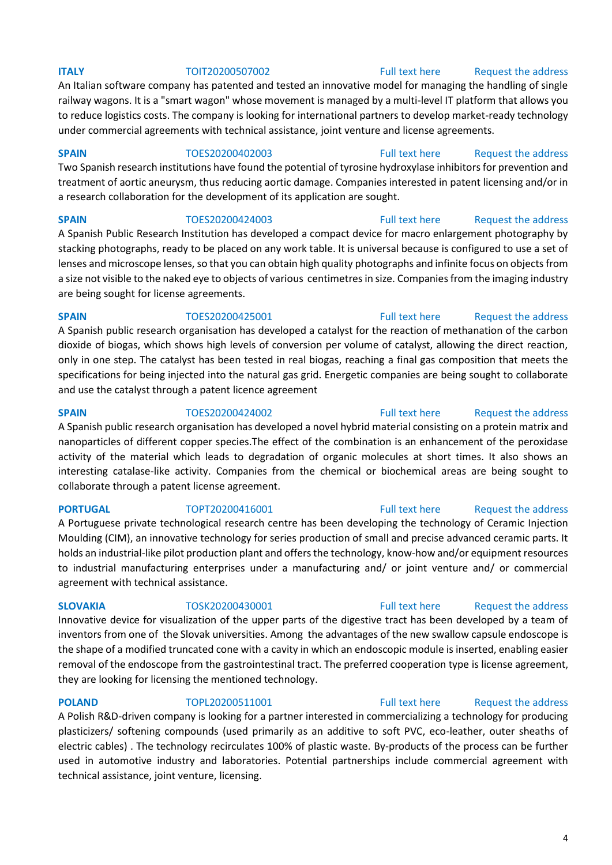An Italian software company has patented and tested an innovative model for managing the handling of single railway wagons. It is a "smart wagon" whose movement is managed by a multi-level IT platform that allows you to reduce logistics costs. The company is looking for international partners to develop market-ready technology under commercial agreements with technical assistance, joint venture and license agreements.

### **SPAIN** TOES20200402003 [Full text here](https://een.ec.europa.eu/tools/services/PRO/Profile/Detail/d752cc15-8efa-47f4-8ae2-f374a6867c01) Request the address

Two Spanish research institutions have found the potential of tyrosine hydroxylase inhibitors for prevention and treatment of aortic aneurysm, thus reducing aortic damage. Companies interested in patent licensing and/or in a research collaboration for the development of its application are sought.

**SPAIN** TOES20200424003 [Full text here](https://een.ec.europa.eu/tools/services/PRO/Profile/Detail/42109fc7-9399-4737-985f-de8e48190946) Request the address A Spanish Public Research Institution has developed a compact device for macro enlargement photography by stacking photographs, ready to be placed on any work table. It is universal because is configured to use a set of lenses and microscope lenses, so that you can obtain high quality photographs and infinite focus on objects from a size not visible to the naked eye to objects of various centimetres in size. Companies from the imaging industry are being sought for license agreements.

### **SPAIN** TOES20200425001 [Full text here](https://een.ec.europa.eu/tools/services/PRO/Profile/Detail/d889245b-30ed-4140-a315-816c24e3d0c4) Request the address

A Spanish public research organisation has developed a catalyst for the reaction of methanation of the carbon dioxide of biogas, which shows high levels of conversion per volume of catalyst, allowing the direct reaction, only in one step. The catalyst has been tested in real biogas, reaching a final gas composition that meets the specifications for being injected into the natural gas grid. Energetic companies are being sought to collaborate and use the catalyst through a patent licence agreement

### **SPAIN** TOES20200424002 [Full text here](https://een.ec.europa.eu/tools/services/PRO/Profile/Detail/14d05001-b747-40c3-b325-9155658b8679) Request the address

A Spanish public research organisation has developed a novel hybrid material consisting on a protein matrix and nanoparticles of different copper species.The effect of the combination is an enhancement of the peroxidase activity of the material which leads to degradation of organic molecules at short times. It also shows an interesting catalase-like activity. Companies from the chemical or biochemical areas are being sought to collaborate through a patent license agreement.

**PORTUGAL** TOPT20200416001 [Full text here](https://een.ec.europa.eu/tools/services/PRO/Profile/Detail/3be50375-0024-4949-a703-bfa47b7c0c08) Request the address A Portuguese private technological research centre has been developing the technology of Ceramic Injection Moulding (CIM), an innovative technology for series production of small and precise advanced ceramic parts. It holds an industrial-like pilot production plant and offers the technology, know-how and/or equipment resources to industrial manufacturing enterprises under a manufacturing and/ or joint venture and/ or commercial agreement with technical assistance.

Innovative device for visualization of the upper parts of the digestive tract has been developed by a team of inventors from one of the Slovak universities. Among the advantages of the new swallow capsule endoscope is the shape of a modified truncated cone with a cavity in which an endoscopic module is inserted, enabling easier removal of the endoscope from the gastrointestinal tract. The preferred cooperation type is license agreement, they are looking for licensing the mentioned technology.

### **POLAND** TOPL20200511001 [Full text here](https://een.ec.europa.eu/tools/services/PRO/Profile/Detail/0b60c375-6a56-41e0-ac05-6dcdc2f5b793) Request the address

A Polish R&D-driven company is looking for a partner interested in commercializing a technology for producing plasticizers/ softening compounds (used primarily as an additive to soft PVC, eco-leather, outer sheaths of electric cables) . The technology recirculates 100% of plastic waste. By-products of the process can be further used in automotive industry and laboratories. Potential partnerships include commercial agreement with technical assistance, joint venture, licensing.

### **ITALY TOIT20200507002** [Full text here](https://een.ec.europa.eu/tools/services/PRO/Profile/Detail/f1e1e8aa-3a17-45f9-b803-fa8fe8b79d1f) Request the address

# **SLOVAKIA** TOSK20200430001 [Full text here](https://een.ec.europa.eu/tools/services/PRO/Profile/Detail/5b72af53-de1d-41c4-be86-cb4ba411cbbf) Request the address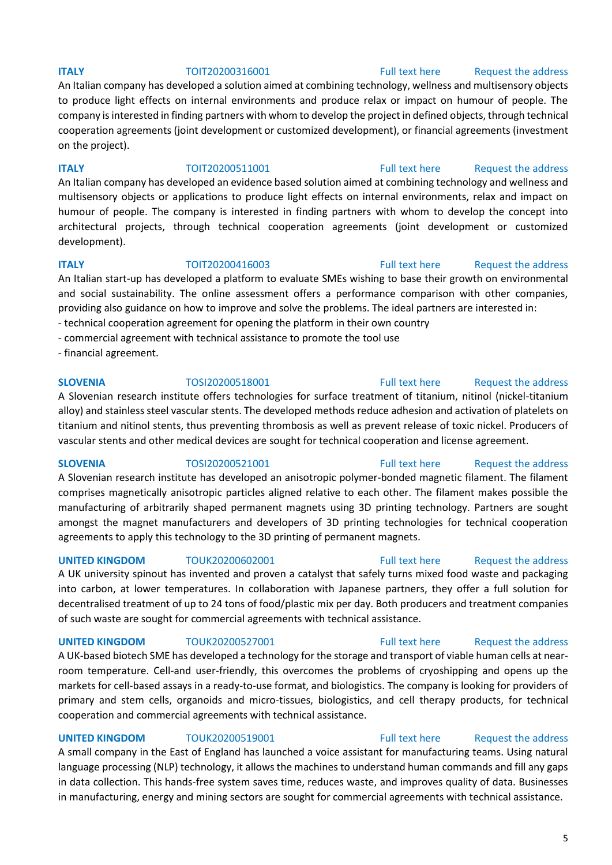### **ITALY TOIT20200316001** [Full text here](https://een.ec.europa.eu/tools/services/PRO/Profile/Detail/66d46e8f-734c-424e-bc44-15c9da414f09) Request the address

An Italian company has developed a solution aimed at combining technology, wellness and multisensory objects to produce light effects on internal environments and produce relax or impact on humour of people. The company is interested in finding partners with whom to develop the project in defined objects, through technical cooperation agreements (joint development or customized development), or financial agreements (investment on the project).

**ITALY TOIT20200511001** [Full text here](https://een.ec.europa.eu/tools/services/PRO/Profile/Detail/0d208424-7f4b-476b-a1b8-57124a0c325b) Request the address

An Italian company has developed an evidence based solution aimed at combining technology and wellness and multisensory objects or applications to produce light effects on internal environments, relax and impact on humour of people. The company is interested in finding partners with whom to develop the concept into architectural projects, through technical cooperation agreements (joint development or customized development).

### **ITALY TOIT20200416003** [Full text here](https://een.ec.europa.eu/tools/services/PRO/Profile/Detail/cdff28b6-b221-4157-bc56-36a9a7103217) Request the address

An Italian start-up has developed a platform to evaluate SMEs wishing to base their growth on environmental and social sustainability. The online assessment offers a performance comparison with other companies, providing also guidance on how to improve and solve the problems. The ideal partners are interested in: - technical cooperation agreement for opening the platform in their own country

- commercial agreement with technical assistance to promote the tool use
- financial agreement.

### **SLOVENIA** TOSI20200518001 [Full text here](https://een.ec.europa.eu/tools/services/PRO/Profile/Detail/0ee36f0a-2b79-4885-97bb-dadbe56e8a20) Request the address

A Slovenian research institute offers technologies for surface treatment of titanium, nitinol (nickel-titanium alloy) and stainless steel vascular stents. The developed methods reduce adhesion and activation of platelets on titanium and nitinol stents, thus preventing thrombosis as well as prevent release of toxic nickel. Producers of vascular stents and other medical devices are sought for technical cooperation and license agreement.

**SLOVENIA** TOSI20200521001 [Full text here](https://een.ec.europa.eu/tools/services/PRO/Profile/Detail/c73f9fbd-5d67-49c9-b167-cfb1467bd297) Request the address

A Slovenian research institute has developed an anisotropic polymer-bonded magnetic filament. The filament comprises magnetically anisotropic particles aligned relative to each other. The filament makes possible the manufacturing of arbitrarily shaped permanent magnets using 3D printing technology. Partners are sought amongst the magnet manufacturers and developers of 3D printing technologies for technical cooperation agreements to apply this technology to the 3D printing of permanent magnets.

**UNITED KINGDOM** TOUK20200602001 [Full text here](https://een.ec.europa.eu/tools/services/PRO/Profile/Detail/c0b3029e-3517-41ec-a8d8-2f3cc1b63fb2) Request the address

A UK university spinout has invented and proven a catalyst that safely turns mixed food waste and packaging into carbon, at lower temperatures. In collaboration with Japanese partners, they offer a full solution for decentralised treatment of up to 24 tons of food/plastic mix per day. Both producers and treatment companies of such waste are sought for commercial agreements with technical assistance.

### **UNITED KINGDOM** TOUK20200527001 [Full text here](https://een.ec.europa.eu/tools/services/PRO/Profile/Detail/ffe20031-271c-468c-9b8f-501d01b4340a) Request the address

A UK-based biotech SME has developed a technology for the storage and transport of viable human cells at nearroom temperature. Cell-and user-friendly, this overcomes the problems of cryoshipping and opens up the markets for cell-based assays in a ready-to-use format, and biologistics. The company is looking for providers of primary and stem cells, organoids and micro-tissues, biologistics, and cell therapy products, for technical cooperation and commercial agreements with technical assistance.

### **UNITED KINGDOM** TOUK20200519001 [Full text here](https://een.ec.europa.eu/tools/services/PRO/Profile/Detail/acf47880-1c50-44b7-92c4-ccd06f3da964) Request the address

A small company in the East of England has launched a voice assistant for manufacturing teams. Using natural language processing (NLP) technology, it allows the machines to understand human commands and fill any gaps in data collection. This hands-free system saves time, reduces waste, and improves quality of data. Businesses in manufacturing, energy and mining sectors are sought for commercial agreements with technical assistance.

### 5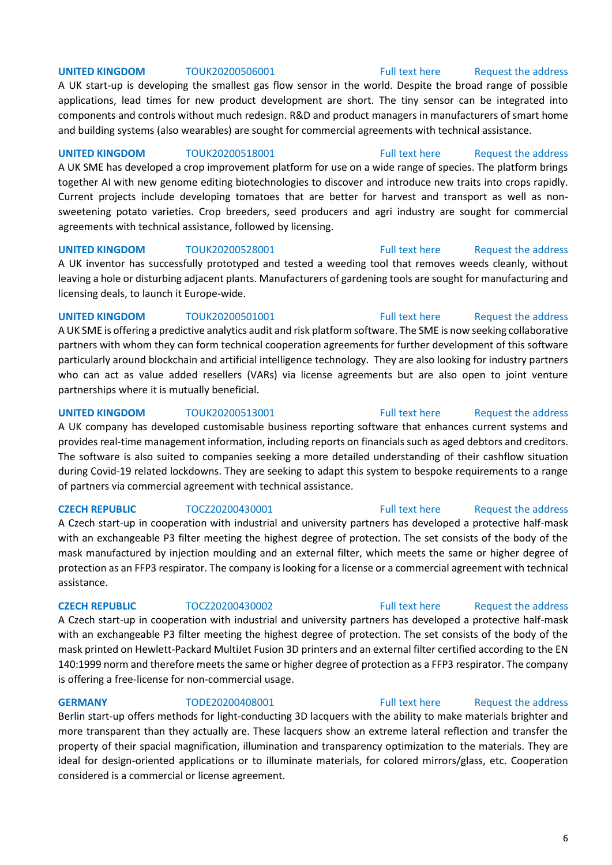### **UNITED KINGDOM** TOUK20200506001 [Full text here](https://een.ec.europa.eu/tools/services/PRO/Profile/Detail/104d3064-12bd-4a61-85df-9f21b971479e) Request the address

A UK start-up is developing the smallest gas flow sensor in the world. Despite the broad range of possible applications, lead times for new product development are short. The tiny sensor can be integrated into components and controls without much redesign. R&D and product managers in manufacturers of smart home and building systems (also wearables) are sought for commercial agreements with technical assistance.

**UNITED KINGDOM** TOUK20200518001 [Full text here](https://een.ec.europa.eu/tools/services/PRO/Profile/Detail/5e5d20a6-90c2-4236-823f-391e046fdfe5) Request the address A UK SME has developed a crop improvement platform for use on a wide range of species. The platform brings together AI with new genome editing biotechnologies to discover and introduce new traits into crops rapidly. Current projects include developing tomatoes that are better for harvest and transport as well as nonsweetening potato varieties. Crop breeders, seed producers and agri industry are sought for commercial agreements with technical assistance, followed by licensing.

# **UNITED KINGDOM** TOUK20200528001 [Full text here](https://een.ec.europa.eu/tools/services/PRO/Profile/Detail/8b0131e8-70c6-49e1-be66-a4dbca309a92) Request the address

A UK inventor has successfully prototyped and tested a weeding tool that removes weeds cleanly, without leaving a hole or disturbing adjacent plants. Manufacturers of gardening tools are sought for manufacturing and licensing deals, to launch it Europe-wide.

### **UNITED KINGDOM** TOUK20200501001 [Full text here](https://een.ec.europa.eu/tools/services/PRO/Profile/Detail/929188d0-d554-4c13-9504-3394e811f571) Request the address A UK SME is offering a predictive analytics audit and risk platform software. The SME is now seeking collaborative partners with whom they can form technical cooperation agreements for further development of this software particularly around blockchain and artificial intelligence technology. They are also looking for industry partners who can act as value added resellers (VARs) via license agreements but are also open to joint venture partnerships where it is mutually beneficial.

### **UNITED KINGDOM** TOUK20200513001 [Full text here](https://een.ec.europa.eu/tools/services/PRO/Profile/Detail/ea90f5ae-7d1b-44f3-a747-763854d81577) Request the address A UK company has developed customisable business reporting software that enhances current systems and provides real-time management information, including reports on financials such as aged debtors and creditors. The software is also suited to companies seeking a more detailed understanding of their cashflow situation during Covid-19 related lockdowns. They are seeking to adapt this system to bespoke requirements to a range of partners via commercial agreement with technical assistance.

### **CZECH REPUBLIC** TOCZ20200430001 [Full text here](https://een.ec.europa.eu/tools/services/PRO/Profile/Detail/a52e7bf3-4444-4bb2-9545-061547caeb88) Request the address

### A Czech start-up in cooperation with industrial and university partners has developed a protective half-mask with an exchangeable P3 filter meeting the highest degree of protection. The set consists of the body of the mask manufactured by injection moulding and an external filter, which meets the same or higher degree of protection as an FFP3 respirator. The company is looking for a license or a commercial agreement with technical assistance.

A Czech start-up in cooperation with industrial and university partners has developed a protective half-mask with an exchangeable P3 filter meeting the highest degree of protection. The set consists of the body of the mask printed on Hewlett-Packard MultiJet Fusion 3D printers and an external filter certified according to the EN 140:1999 norm and therefore meets the same or higher degree of protection as a FFP3 respirator. The company is offering a free-license for non-commercial usage.

### **GERMANY** TODE20200408001 [Full text here](https://een.ec.europa.eu/tools/services/PRO/Profile/Detail/e6b32b65-4224-4488-89ee-d02b0cc593ff) Request the address

Berlin start-up offers methods for light-conducting 3D lacquers with the ability to make materials brighter and more transparent than they actually are. These lacquers show an extreme lateral reflection and transfer the property of their spacial magnification, illumination and transparency optimization to the materials. They are ideal for design-oriented applications or to illuminate materials, for colored mirrors/glass, etc. Cooperation considered is a commercial or license agreement.

**CZECH REPUBLIC** TOCZ20200430002 [Full text here](https://een.ec.europa.eu/tools/services/PRO/Profile/Detail/a8e55b72-8f8a-4f41-b11e-09b5a3be21c9) [Request the address](http://www.een.bg/index.php?option=com_rsform&formId=13)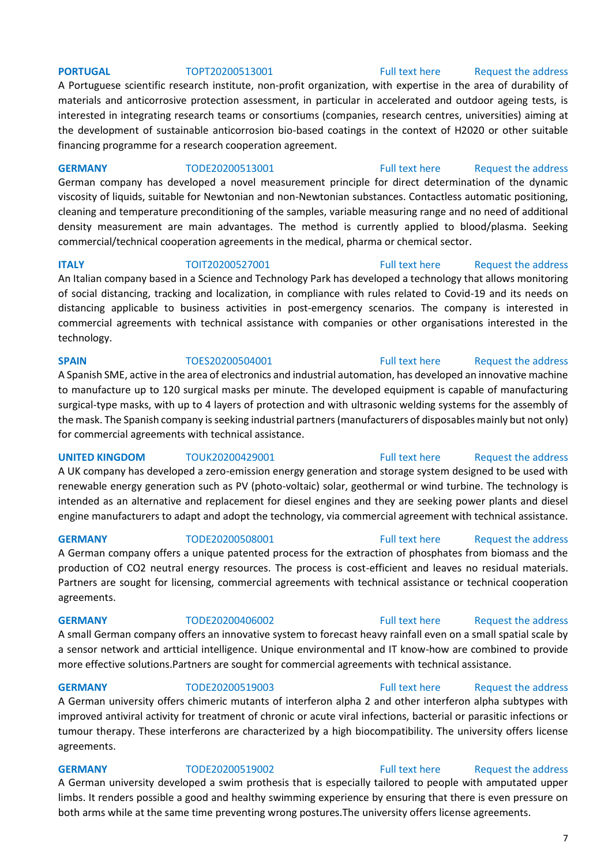### **PORTUGAL** TOPT20200513001 [Full text here](https://een.ec.europa.eu/tools/services/PRO/Profile/Detail/e3446f92-83c1-4098-b1d7-3db63119da41) Request the address

A Portuguese scientific research institute, non-profit organization, with expertise in the area of durability of materials and anticorrosive protection assessment, in particular in accelerated and outdoor ageing tests, is interested in integrating research teams or consortiums (companies, research centres, universities) aiming at the development of sustainable anticorrosion bio-based coatings in the context of H2020 or other suitable financing programme for a research cooperation agreement.

### **GERMANY** TODE20200513001 [Full text here](https://een.ec.europa.eu/tools/services/PRO/Profile/Detail/fbfae1a1-1058-421e-99a3-e6daebab3017) Request the address

German company has developed a novel measurement principle for direct determination of the dynamic viscosity of liquids, suitable for Newtonian and non-Newtonian substances. Contactless automatic positioning, cleaning and temperature preconditioning of the samples, variable measuring range and no need of additional density measurement are main advantages. The method is currently applied to blood/plasma. Seeking commercial/technical cooperation agreements in the medical, pharma or chemical sector.

**ITALY TOIT20200527001** [Full text here](https://een.ec.europa.eu/tools/services/PRO/Profile/Detail/455a387f-ad03-433b-b4fc-1f3375650296) Request the address An Italian company based in a Science and Technology Park has developed a technology that allows monitoring of social distancing, tracking and localization, in compliance with rules related to Covid-19 and its needs on distancing applicable to business activities in post-emergency scenarios. The company is interested in commercial agreements with technical assistance with companies or other organisations interested in the technology.

A Spanish SME, active in the area of electronics and industrial automation, has developed an innovative machine to manufacture up to 120 surgical masks per minute. The developed equipment is capable of manufacturing surgical-type masks, with up to 4 layers of protection and with ultrasonic welding systems for the assembly of the mask. The Spanish company is seeking industrial partners (manufacturers of disposables mainly but not only) for commercial agreements with technical assistance.

A UK company has developed a zero-emission energy generation and storage system designed to be used with renewable energy generation such as PV (photo-voltaic) solar, geothermal or wind turbine. The technology is intended as an alternative and replacement for diesel engines and they are seeking power plants and diesel engine manufacturers to adapt and adopt the technology, via commercial agreement with technical assistance.

### **GERMANY** TODE20200508001 [Full text here](https://een.ec.europa.eu/tools/services/PRO/Profile/Detail/98f87900-3352-4531-b8a2-0f9c1d281609) Request the address

A German company offers a unique patented process for the extraction of phosphates from biomass and the production of CO2 neutral energy resources. The process is cost-efficient and leaves no residual materials. Partners are sought for licensing, commercial agreements with technical assistance or technical cooperation agreements.

A small German company offers an innovative system to forecast heavy rainfall even on a small spatial scale by a sensor network and artticial intelligence. Unique environmental and IT know-how are combined to provide more effective solutions.Partners are sought for commercial agreements with technical assistance.

A German university offers chimeric mutants of interferon alpha 2 and other interferon alpha subtypes with improved antiviral activity for treatment of chronic or acute viral infections, bacterial or parasitic infections or tumour therapy. These interferons are characterized by a high biocompatibility. The university offers license agreements.

### **GERMANY** TODE20200519002 [Full text here](https://een.ec.europa.eu/tools/services/PRO/Profile/Detail/9528fbe8-7c84-49d4-8255-eb2da9d68139) Request the address

A German university developed a swim prothesis that is especially tailored to people with amputated upper limbs. It renders possible a good and healthy swimming experience by ensuring that there is even pressure on both arms while at the same time preventing wrong postures.The university offers license agreements.

### **GERMANY** TODE20200519003 [Full text here](https://een.ec.europa.eu/tools/services/PRO/Profile/Detail/9d67ec63-37f4-43b7-bc86-1d32c2ba80c4) Request the address

### **GERMANY** TODE20200406002 [Full text here](https://een.ec.europa.eu/tools/services/PRO/Profile/Detail/9a91629a-438d-4fe5-9d34-b1fe803266ed) Request the address

# **SPAIN** TOES20200504001 [Full text here](https://een.ec.europa.eu/tools/services/PRO/Profile/Detail/37381187-ad1d-4f4b-9722-8d36cd449e5d) Request the address

**UNITED KINGDOM** TOUK20200429001 [Full text here](https://een.ec.europa.eu/tools/services/PRO/Profile/Detail/bb14576a-91d7-4595-b41e-00ce9e5bba29) Request the address